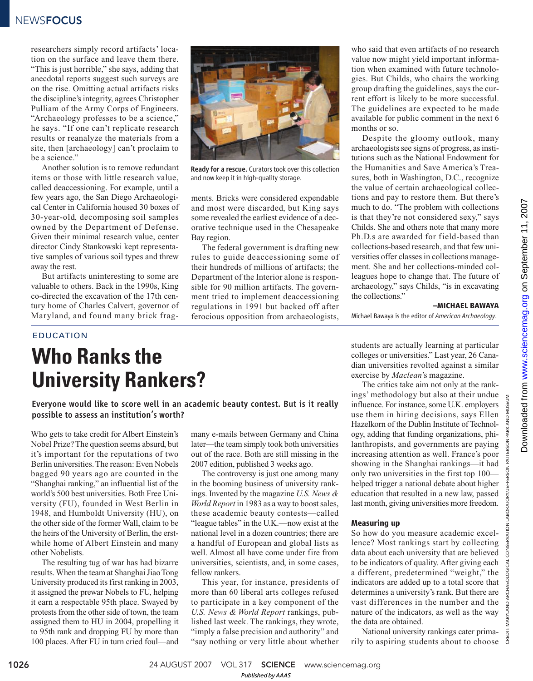# **NEWSFOCUS**

researchers simply record artifacts' location on the surface and leave them there. "This is just horrible," she says, adding that anecdotal reports suggest such surveys are on the rise. Omitting actual artifacts risks the discipline's integrity, agrees Christopher Pulliam of the Army Corps of Engineers. "Archaeology professes to be a science," he says. "If one can't replicate research results or reanalyze the materials from a site, then [archaeology] can't proclaim to be a science."

Another solution is to remove redundant items or those with little research value, called deaccessioning. For example, until a few years ago, the San Diego Archaeological Center in California housed 30 boxes of 30-year-old, decomposing soil samples owned by the Department of Defense. Given their minimal research value, center director Cindy Stankowski kept representative samples of various soil types and threw away the rest.

But artifacts uninteresting to some are valuable to others. Back in the 1990s, King co-directed the excavation of the 17th century home of Charles Calvert, governor of Maryland, and found many brick frag-

## EDUCATION

# **Who Ranks the University Rankers?**

Everyone would like to score well in an academic beauty contest. But is it really possible to assess an institution's worth?

Bay region.

Who gets to take credit for Albert Einstein's Nobel Prize? The question seems absurd, but it's important for the reputations of two Berlin universities. The reason: Even Nobels bagged 90 years ago are counted in the "Shanghai ranking," an influential list of the world's 500 best universities. Both Free University (FU), founded in West Berlin in 1948, and Humboldt University (HU), on the other side of the former Wall, claim to be the heirs of the University of Berlin, the erstwhile home of Albert Einstein and many other Nobelists.

The resulting tug of war has had bizarre results. When the team at Shanghai Jiao Tong University produced its first ranking in 2003, it assigned the prewar Nobels to FU, helping it earn a respectable 95th place. Swayed by protests from the other side of town, the team assigned them to HU in 2004, propelling it to 95th rank and dropping FU by more than 100 places. After FU in turn cried foul—and

many e-mails between Germany and China later—the team simply took both universities out of the race. Both are still missing in the 2007 edition, published 3 weeks ago.

ments. Bricks were considered expendable and most were discarded, but King says some revealed the earliest evidence of a decorative technique used in the Chesapeake

Ready for a rescue. Curators took over this collection

and now keep it in high-quality storage.

The federal government is drafting new rules to guide deaccessioning some of their hundreds of millions of artifacts; the Department of the Interior alone is responsible for 90 million artifacts. The government tried to implement deaccessioning regulations in 1991 but backed off after ferocious opposition from archaeologists,

The controversy is just one among many in the booming business of university rankings. Invented by the magazine *U.S. News & World Report* in 1983 as a way to boost sales, these academic beauty contests—called "league tables" in the U.K.—now exist at the national level in a dozen countries; there are a handful of European and global lists as well. Almost all have come under fire from universities, scientists, and, in some cases, fellow rankers.

This year, for instance, presidents of more than 60 liberal arts colleges refused to participate in a key component of the *U.S. News & World Report* rankings, published last week. The rankings, they wrote, "imply a false precision and authority" and "say nothing or very little about whether

who said that even artifacts of no research value now might yield important information when examined with future technologies. But Childs, who chairs the working group drafting the guidelines, says the current effort is likely to be more successful. The guidelines are expected to be made available for public comment in the next 6 months or so.

Despite the gloomy outlook, many archaeologists see signs of progress, as institutions such as the National Endowment for the Humanities and Save America's Treasures, both in Washington, D.C., recognize the value of certain archaeological collections and pay to restore them. But there's much to do. "The problem with collections is that they're not considered sexy," says Childs. She and others note that many more Ph.D.s are awarded for field-based than collections-based research, and that few universities offer classes in collections management. She and her collections-minded colleagues hope to change that. The future of archaeology," says Childs, "is in excavating the collections."

#### **–MICHAEL BAWAYA**

Michael Bawaya is the editor of *American Archaeology*.

students are actually learning at particular colleges or universities." Last year, 26 Canadian universities revolted against a similar exercise by *Maclean*'s magazine.

The critics take aim not only at the rankings' methodology but also at their undue influence. For instance, some U.K. employers use them in hiring decisions, says Ellen Hazelkorn of the Dublin Institute of Technology, adding that funding organizations, philanthropists, and governments are paying increasing attention as well. France's poor showing in the Shanghai rankings—it had only two universities in the first top 100 helped trigger a national debate about higher education that resulted in a new law, passed last month, giving universities more freedom.

#### **Measuring up**

So how do you measure academic excellence? Most rankings start by collecting data about each university that are believed to be indicators of quality. After giving each a different, predetermined "weight," the indicators are added up to a total score that determines a university's rank. But there are vast differences in the number and the nature of the indicators, as well as the way the data are obtained.

National university rankings cater primarily to aspiring students about to choose CREDIT: MARYLAND ARCHAEOLOGICAL CONSERVATION LABORATORY/JEFFERSON PATTERSON PARK AND MUSEUM

CONSERVATIO

**RCHAEOLOGICAL**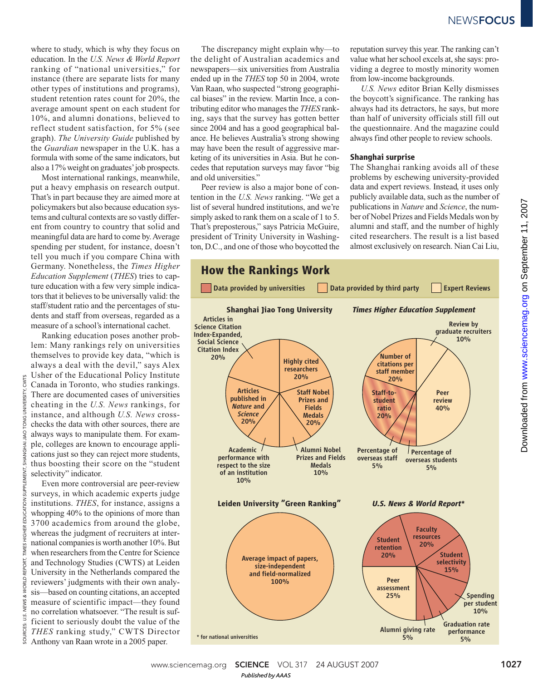where to study, which is why they focus on education. In the *U.S. News & World Report* ranking of "national universities," for instance (there are separate lists for many other types of institutions and programs), student retention rates count for 20%, the average amount spent on each student for 10%, and alumni donations, believed to reflect student satisfaction, for 5% (see graph). *The University Guide* published by the *Guardian* newspaper in the U.K. has a formula with some of the same indicators, but also a 17% weight on graduates'job prospects.

Most international rankings, meanwhile, put a heavy emphasis on research output. That's in part because they are aimed more at policymakers but also because education systems and cultural contexts are so vastly different from country to country that solid and meaningful data are hard to come by. Average spending per student, for instance, doesn't tell you much if you compare China with Germany. Nonetheless, the *Times Higher Education Supplement* (*THES*) tries to capture education with a few very simple indicators that it believes to be universally valid: the staff/student ratio and the percentages of students and staff from overseas, regarded as a measure of a school's international cachet.

Ranking education poses another problem: Many rankings rely on universities themselves to provide key data, "which is always a deal with the devil," says Alex Usher of the Educational Policy Institute Canada in Toronto, who studies rankings. There are documented cases of universities cheating in the *U.S. News* rankings, for instance, and although *U.S. News* crosschecks the data with other sources, there are always ways to manipulate them. For example, colleges are known to encourage applications just so they can reject more students, thus boosting their score on the "student selectivity" indicator.

Even more controversial are peer-review surveys, in which academic experts judge institutions. *THES*, for instance, assigns a whopping 40% to the opinions of more than 3700 academics from around the globe, whereas the judgment of recruiters at international companies is worth another 10%. But when researchers from the Centre for Science and Technology Studies (CWTS) at Leiden University in the Netherlands compared the reviewers' judgments with their own analysis—based on counting citations, an accepted measure of scientific impact—they found no correlation whatsoever. "The result is sufficient to seriously doubt the value of the *THES* ranking study," CWTS Director Anthony van Raan wrote in a 2005 paper.

SOURCES: U.S. NEWS & WORLD REPORT, TIMES HIGHER EDUCATION SUPPLEMENT, SHANGHAI JIAO TONG UNIVERSITY, CWTS

EDUCATION

**HGHER**  $MES$ 

REPORT,

WORLD NEWS &

SOURCES:

**CWTS** 

G UNIVERSITY

š Q

SHANGHAI

SUPPLEMENT

The discrepancy might explain why—to the delight of Australian academics and newspapers—six universities from Australia ended up in the *THES* top 50 in 2004, wrote Van Raan, who suspected "strong geographical biases" in the review. Martin Ince, a contributing editor who manages the *THES* ranking, says that the survey has gotten better since 2004 and has a good geographical balance. He believes Australia's strong showing may have been the result of aggressive marketing of its universities in Asia. But he concedes that reputation surveys may favor "big and old universities."

Peer review is also a major bone of contention in the *U.S. News* ranking. "We get a list of several hundred institutions, and we're simply asked to rank them on a scale of 1 to 5. That's preposterous," says Patricia McGuire, president of Trinity University in Washington, D.C., and one of those who boycotted the reputation survey this year. The ranking can't value what her school excels at, she says: providing a degree to mostly minority women from low-income backgrounds.

*U.S. News* editor Brian Kelly dismisses the boycott's significance. The ranking has always had its detractors, he says, but more than half of university officials still fill out the questionnaire. And the magazine could always find other people to review schools.

### **Shanghai surprise**

The Shanghai ranking avoids all of these problems by eschewing university-provided data and expert reviews. Instead, it uses only publicly available data, such as the number of publications in *Nature* and *Science*, the number of Nobel Prizes and Fields Medals won by alumni and staff, and the number of highly cited researchers. The result is a list based almost exclusively on research. Nian Cai Liu,



www.sciencemag.org **SCIENCE** VOL 317 24 AUGUST 2007 1027 *Published byAAAS*